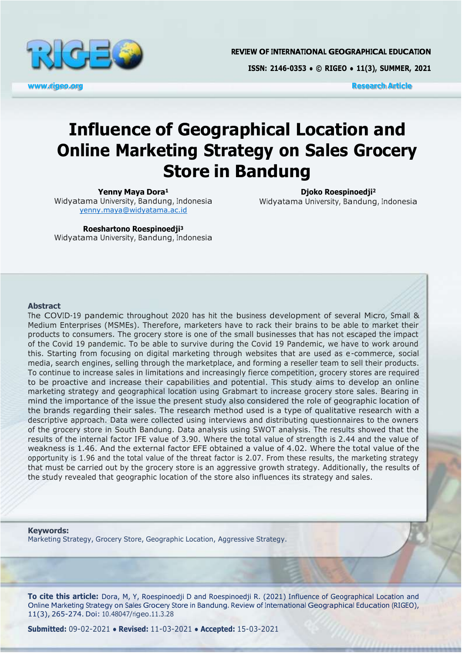

**REVIEW OF INTERNATIONAL GEOGRAPHICAL EDUCATION** 

**ISSN: 2146-0353 ● © RIGEO ● 11(3), SUMMER, 2021**

**[www.rigeo.org](http://www.rigeo.org/) Research Article**

# **Influence of Geographical Location and Online Marketing Strategy on Sales Grocery Store in Bandung**

**Yenny Maya Dora<sup>1</sup>**

Widyatama University, Bandung, Indonesia [yenny.maya@widyatama.ac.id](mailto:yenny.maya@widyatama.ac.id)

**Djoko Roespinoedji<sup>2</sup>** Widyatama University, Bandung, Indonesia

**Roeshartono Roespinoedji<sup>3</sup>** Widyatama University, Bandung, Indonesia

#### **Abstract**

The COVID-19 pandemic throughout 2020 has hit the business development of several Micro, Small & Medium Enterprises (MSMEs). Therefore, marketers have to rack their brains to be able to market their products to consumers. The grocery store is one of the small businesses that has not escaped the impact of the Covid 19 pandemic. To be able to survive during the Covid 19 Pandemic, we have to work around this. Starting from focusing on digital marketing through websites that are used as e-commerce, social media, search engines, selling through the marketplace, and forming a reseller team to sell their products. To continue to increase sales in limitations and increasingly fierce competition, grocery stores are required to be proactive and increase their capabilities and potential. This study aims to develop an online marketing strategy and geographical location using Grabmart to increase grocery store sales. Bearing in mind the importance of the issue the present study also considered the role of geographic location of the brands regarding their sales. The research method used is a type of qualitative research with a descriptive approach. Data were collected using interviews and distributing questionnaires to the owners of the grocery store in South Bandung. Data analysis using SWOT analysis. The results showed that the results of the internal factor IFE value of 3.90. Where the total value of strength is 2.44 and the value of weakness is 1.46. And the external factor EFE obtained a value of 4.02. Where the total value of the opportunity is 1.96 and the total value of the threat factor is 2.07. From these results, the marketing strategy that must be carried out by the grocery store is an aggressive growth strategy. Additionally, the results of the study revealed that geographic location of the store also influences its strategy and sales.

#### **Keywords:**

Marketing Strategy, Grocery Store, Geographic Location, Aggressive Strategy.

**To cite this article:** Dora, M, Y, Roespinoedji D and Roespinoedji R. (2021) Influence of Geographical Location and Online Marketing Strategy on Sales Grocery Store in Bandung. Review of International Geographical Education (RIGEO), 11(3), 265-274. Doi: 10.48047/rigeo.11.3.28

**Submitted:** 09-02-2021 **● Revised:** 11-03-2021 **● Accepted:** 15-03-2021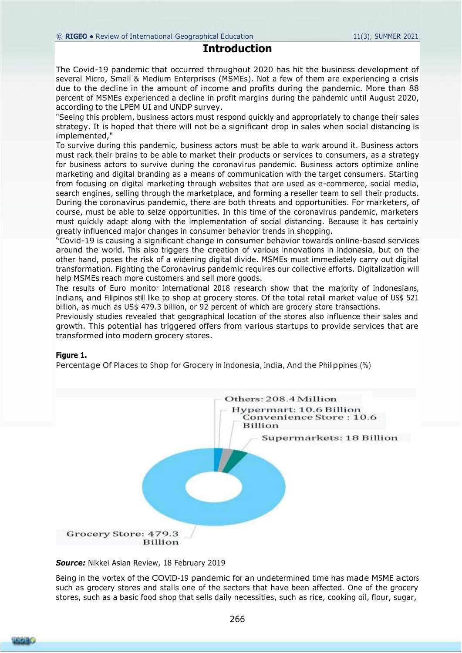# **Introduction**

The Covid-19 pandemic that occurred throughout 2020 has hit the business development of several Micro, Small & Medium Enterprises (MSMEs). Not a few of them are experiencing a crisis due to the decline in the amount of income and profits during the pandemic. More than 88 percent of MSMEs experienced a decline in profit margins during the pandemic until August 2020, according to the LPEM UI and UNDP survey.

"Seeing this problem, business actors must respond quickly and appropriately to change their sales strategy. It is hoped that there will not be a significant drop in sales when social distancing is implemented,"

To survive during this pandemic, business actors must be able to work around it. Business actors must rack their brains to be able to market their products or services to consumers, as a strategy for business actors to survive during the coronavirus pandemic. Business actors optimize online marketing and digital branding as a means of communication with the target consumers. Starting from focusing on digital marketing through websites that are used as e-commerce, social media, search engines, selling through the marketplace, and forming a reseller team to sell their products. During the coronavirus pandemic, there are both threats and opportunities. For marketers, of course, must be able to seize opportunities. In this time of the coronavirus pandemic, marketers must quickly adapt along with the implementation of social distancing. Because it has certainly greatly influenced major changes in consumer behavior trends in shopping.

"Covid-19 is causing a significant change in consumer behavior towards online-based services around the world. This also triggers the creation of various innovations in Indonesia, but on the other hand, poses the risk of a widening digital divide. MSMEs must immediately carry out digital transformation. Fighting the Coronavirus pandemic requires our collective efforts. Digitalization will help MSMEs reach more customers and sell more goods.

The results of Euro monitor International 2018 research show that the majority of Indonesians, Indians, and Filipinos still like to shop at grocery stores. Of the total retail market value of US\$ 521 billion, as much as US\$ 479.3 billion, or 92 percent of which are grocery store transactions.

Previously studies revealed that geographical location of the stores also influence their sales and growth. This potential has triggered offers from various startups to provide services that are transformed into modern grocery stores.

#### **Figure 1.**

Percentage Of Places to Shop for Grocery in Indonesia, India, And the Philippines (%)



*Source:* Nikkei Asian Review, 18 February 2019

Being in the vortex of the COVID-19 pandemic for an undetermined time has made MSME actors such as grocery stores and stalls one of the sectors that have been affected. One of the grocery stores, such as a basic food shop that sells daily necessities, such as rice, cooking oil, flour, sugar,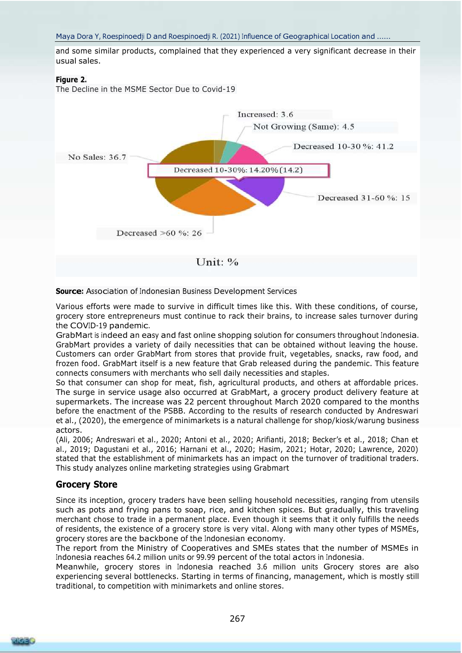and some similar products, complained that they experienced a very significant decrease in their usual sales.

#### **Figure 2.**

The Decline in the MSME Sector Due to Covid-19



#### **Source:** Association of Indonesian Business Development Services

Various efforts were made to survive in difficult times like this. With these conditions, of course, grocery store entrepreneurs must continue to rack their brains, to increase sales turnover during the COVID-19 pandemic.

GrabMart is indeed an easy and fast online shopping solution for consumers throughout Indonesia. GrabMart provides a variety of daily necessities that can be obtained without leaving the house. Customers can order GrabMart from stores that provide fruit, vegetables, snacks, raw food, and frozen food. GrabMart itself is a new feature that Grab released during the pandemic. This feature connects consumers with merchants who sell daily necessities and staples.

So that consumer can shop for meat, fish, agricultural products, and others at affordable prices. The surge in service usage also occurred at GrabMart, a grocery product delivery feature at supermarkets. The increase was 22 percent throughout March 2020 compared to the months before the enactment of the PSBB. According to the results of research conducted by Andreswari et al., (2020), the emergence of minimarkets is a natural challenge for shop/kiosk/warung business actors.

(Ali, 2006; Andreswari et al., 2020; Antoni et al., 2020; Arifianti, 2018; Becker's et al., 2018; Chan et al., 2019; Dagustani et al., 2016; Harnani et al., 2020; Hasim, 2021; Hotar, 2020; Lawrence, 2020) stated that the establishment of minimarkets has an impact on the turnover of traditional traders. This study analyzes online marketing strategies using Grabmart

# **Grocery Store**

Since its inception, grocery traders have been selling household necessities, ranging from utensils such as pots and frying pans to soap, rice, and kitchen spices. But gradually, this traveling merchant chose to trade in a permanent place. Even though it seems that it only fulfills the needs of residents, the existence of a grocery store is very vital. Along with many other types of MSMEs, grocery stores are the backbone of the Indonesian economy.

The report from the Ministry of Cooperatives and SMEs states that the number of MSMEs in Indonesia reaches 64.2 million units or 99.99 percent of the total actors in Indonesia.

Meanwhile, grocery stores in Indonesia reached 3.6 million units Grocery stores are also experiencing several bottlenecks. Starting in terms of financing, management, which is mostly still traditional, to competition with minimarkets and online stores.

RIGE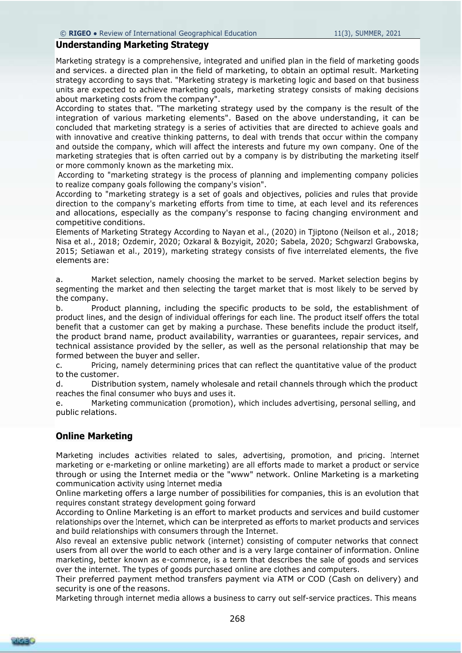# **Understanding Marketing Strategy**

Marketing strategy is a comprehensive, integrated and unified plan in the field of marketing goods and services. a directed plan in the field of marketing, to obtain an optimal result. Marketing strategy according to says that. "Marketing strategy is marketing logic and based on that business units are expected to achieve marketing goals, marketing strategy consists of making decisions about marketing costs from the company".

According to states that. "The marketing strategy used by the company is the result of the integration of various marketing elements". Based on the above understanding, it can be concluded that marketing strategy is a series of activities that are directed to achieve goals and with innovative and creative thinking patterns, to deal with trends that occur within the company and outside the company, which will affect the interests and future my own company. One of the marketing strategies that is often carried out by a company is by distributing the marketing itself or more commonly known as the marketing mix.

According to "marketing strategy is the process of planning and implementing company policies to realize company goals following the company's vision".

According to "marketing strategy is a set of goals and objectives, policies and rules that provide direction to the company's marketing efforts from time to time, at each level and its references and allocations, especially as the company's response to facing changing environment and competitive conditions.

Elements of Marketing Strategy According to Nayan et al., (2020) in Tjiptono (Neilson et al., 2018; Nisa et al., 2018; Ozdemir, 2020; Ozkaral & Bozyigit, 2020; Sabela, 2020; Schgwarzl Grabowska, 2015; Setiawan et al., 2019), marketing strategy consists of five interrelated elements, the five elements are:

a. Market selection, namely choosing the market to be served. Market selection begins by segmenting the market and then selecting the target market that is most likely to be served by the company.

b. Product planning, including the specific products to be sold, the establishment of product lines, and the design of individual offerings for each line. The product itself offers the total benefit that a customer can get by making a purchase. These benefits include the product itself, the product brand name, product availability, warranties or guarantees, repair services, and technical assistance provided by the seller, as well as the personal relationship that may be formed between the buyer and seller.

c. Pricing, namely determining prices that can reflect the quantitative value of the product to the customer.

d. Distribution system, namely wholesale and retail channels through which the product reaches the final consumer who buys and uses it.

e. Marketing communication (promotion), which includes advertising, personal selling, and public relations.

# **Online Marketing**

Marketing includes activities related to sales, advertising, promotion, and pricing. Internet marketing or e-marketing or online marketing) are all efforts made to market a product or service through or using the Internet media or the "www" network. Online Marketing is a marketing communication activity using Internet media

Online marketing offers a large number of possibilities for companies, this is an evolution that requires constant strategy development going forward

According to Online Marketing is an effort to market products and services and build customer relationships over the Internet, which can be interpreted as efforts to market products and services and build relationships with consumers through the Internet.

Also reveal an extensive public network (internet) consisting of computer networks that connect users from all over the world to each other and is a very large container of information. Online marketing, better known as e-commerce, is a term that describes the sale of goods and services over the internet. The types of goods purchased online are clothes and computers.

Their preferred payment method transfers payment via ATM or COD (Cash on delivery) and security is one of the reasons.

Marketing through internet media allows a business to carry out self-service practices. This means

268

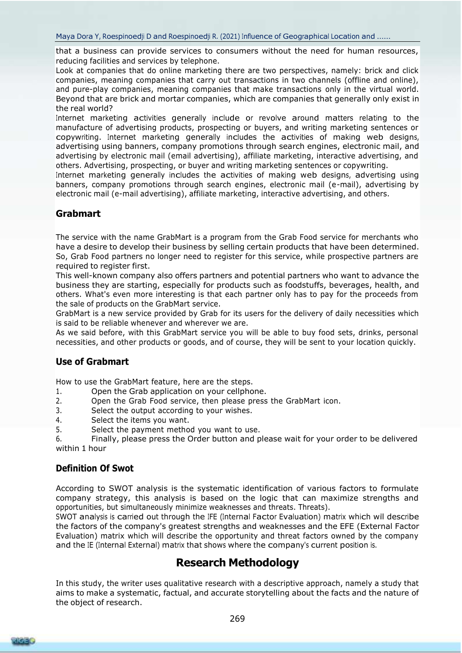that a business can provide services to consumers without the need for human resources, reducing facilities and services by telephone.

Look at companies that do online marketing there are two perspectives, namely: brick and click companies, meaning companies that carry out transactions in two channels (offline and online), and pure-play companies, meaning companies that make transactions only in the virtual world. Beyond that are brick and mortar companies, which are companies that generally only exist in the real world?

Internet marketing activities generally include or revolve around matters relating to the manufacture of advertising products, prospecting or buyers, and writing marketing sentences or copywriting. Internet marketing generally includes the activities of making web designs, advertising using banners, company promotions through search engines, electronic mail, and advertising by electronic mail (email advertising), affiliate marketing, interactive advertising, and others. Advertising, prospecting, or buyer and writing marketing sentences or copywriting.

Internet marketing generally includes the activities of making web designs, advertising using banners, company promotions through search engines, electronic mail (e-mail), advertising by electronic mail (e-mail advertising), affiliate marketing, interactive advertising, and others.

# **Grabmart**

The service with the name GrabMart is a program from the Grab Food service for merchants who have a desire to develop their business by selling certain products that have been determined. So, Grab Food partners no longer need to register for this service, while prospective partners are required to register first.

This well-known company also offers partners and potential partners who want to advance the business they are starting, especially for products such as foodstuffs, beverages, health, and others. What's even more interesting is that each partner only has to pay for the proceeds from the sale of products on the GrabMart service.

GrabMart is a new service provided by Grab for its users for the delivery of daily necessities which is said to be reliable whenever and wherever we are.

As we said before, with this GrabMart service you will be able to buy food sets, drinks, personal necessities, and other products or goods, and of course, they will be sent to your location quickly.

# **Use of Grabmart**

How to use the GrabMart feature, here are the steps.

- 1. Open the Grab application on your cellphone.
- 2. Open the Grab Food service, then please press the GrabMart icon.
- 3. Select the output according to your wishes.
- 4. Select the items you want.
- 5. Select the payment method you want to use.

6. Finally, please press the Order button and please wait for your order to be delivered within 1 hour

# **Definition Of Swot**

According to SWOT analysis is the systematic identification of various factors to formulate company strategy, this analysis is based on the logic that can maximize strengths and opportunities, but simultaneously minimize weaknesses and threats. Threats).

SWOT analysis is carried out through the IFE (Internal Factor Evaluation) matrix which will describe the factors of the company's greatest strengths and weaknesses and the EFE (External Factor Evaluation) matrix which will describe the opportunity and threat factors owned by the company and the IE (Internal External) matrix that shows where the company's current position is.

# **Research Methodology**

In this study, the writer uses qualitative research with a descriptive approach, namely a study that aims to make a systematic, factual, and accurate storytelling about the facts and the nature of the object of research.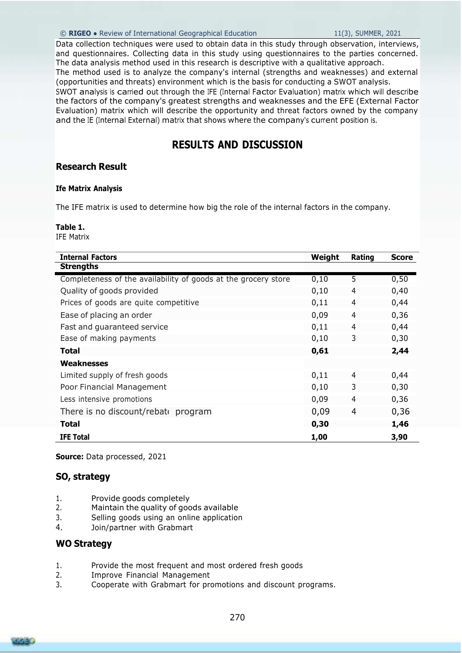#### © **RIGEO** ● Review of International Geographical Education 11(3), SUMMER, 2021

Data collection techniques were used to obtain data in this study through observation, interviews, and questionnaires. Collecting data in this study using questionnaires to the parties concerned. The data analysis method used in this research is descriptive with a qualitative approach.

The method used is to analyze the company's internal (strengths and weaknesses) and external (opportunities and threats) environment which is the basis for conducting a SWOT analysis.

SWOT analysis is carried out through the IFE (Internal Factor Evaluation) matrix which will describe the factors of the company's greatest strengths and weaknesses and the EFE (External Factor Evaluation) matrix which will describe the opportunity and threat factors owned by the company and the IE (Internal External) matrix that shows where the company's current position is.

# **RESULTS AND DISCUSSION**

# **Research Result**

## **Ife Matrix Analysis**

The IFE matrix is used to determine how big the role of the internal factors in the company.

## **Table 1.**

IFE Matrix

| <b>Internal Factors</b>                                        | Weight | Rating         | <b>Score</b> |
|----------------------------------------------------------------|--------|----------------|--------------|
| <b>Strengths</b>                                               |        |                |              |
| Completeness of the availability of goods at the grocery store | 0,10   | $\overline{5}$ | 0,50         |
| Quality of goods provided                                      | 0,10   | 4              | 0,40         |
| Prices of goods are quite competitive                          | 0,11   | 4              | 0,44         |
| Ease of placing an order                                       | 0,09   | 4              | 0,36         |
| Fast and guaranteed service                                    | 0,11   | 4              | 0,44         |
| Ease of making payments                                        | 0,10   | 3              | 0,30         |
| <b>Total</b>                                                   | 0,61   |                | 2,44         |
| <b>Weaknesses</b>                                              |        |                |              |
| Limited supply of fresh goods                                  | 0,11   | 4              | 0,44         |
| Poor Financial Management                                      | 0,10   | 3              | 0,30         |
| Less intensive promotions                                      | 0,09   | 4              | 0,36         |
| There is no discount/rebate program                            | 0,09   | 4              | 0,36         |
| <b>Total</b>                                                   | 0,30   |                | 1,46         |
| <b>IFE Total</b>                                               | 1,00   |                | 3,90         |

**Source:** Data processed, 2021

# **SO, strategy**

- 1. Provide goods completely
- 2. Maintain the quality of goods available
- 3. Selling goods using an online application
- 4. Join/partner with Grabmart

# **WO Strategy**

- 1. Provide the most frequent and most ordered fresh goods
- 2. Improve Financial Management
- 3. Cooperate with Grabmart for promotions and discount programs.

RICEO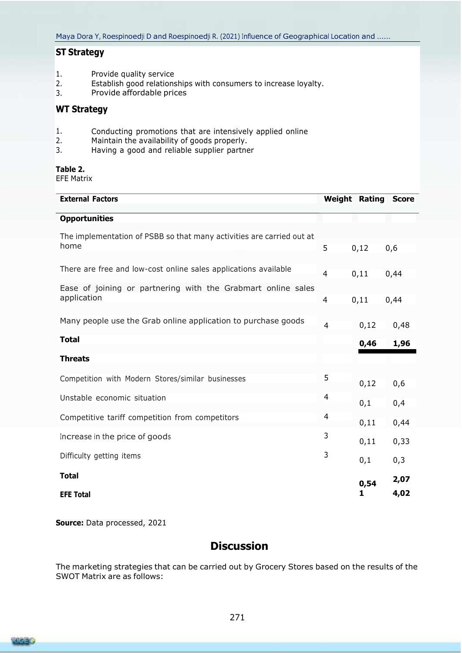# **ST Strategy**

- Provide quality service 1.
- Establish good relationships with consumers to increase loyalty. 2.
- Provide affordable prices 3.

# **WT Strategy**

- Conducting promotions that are intensively applied online 1.
- Maintain the availability of goods properly. 2.
- Having a good and reliable supplier partner 3.

## **Table 2.**

EFE Matrix

| <b>External Factors</b>                                                       |                |      | <b>Weight Rating Score</b> |
|-------------------------------------------------------------------------------|----------------|------|----------------------------|
| <b>Opportunities</b>                                                          |                |      |                            |
| The implementation of PSBB so that many activities are carried out at<br>home | 5              | 0,12 | 0,6                        |
| There are free and low-cost online sales applications available               | $\overline{4}$ | 0,11 | 0,44                       |
| Ease of joining or partnering with the Grabmart online sales<br>application   | $\overline{4}$ | 0,11 | 0,44                       |
| Many people use the Grab online application to purchase goods                 | $\overline{4}$ | 0,12 | 0,48                       |
| <b>Total</b>                                                                  |                | 0,46 | 1,96                       |
| <b>Threats</b>                                                                |                |      |                            |
| Competition with Modern Stores/similar businesses                             | 5              | 0,12 | 0,6                        |
| Unstable economic situation                                                   | 4              | 0,1  | 0,4                        |
| Competitive tariff competition from competitors                               | 4              | 0,11 | 0,44                       |
| Increase in the price of goods                                                | 3              | 0,11 | 0,33                       |
| Difficulty getting items                                                      | 3              | 0,1  | 0,3                        |
| <b>Total</b>                                                                  |                | 0,54 | 2,07                       |
| <b>EFE Total</b>                                                              |                | 1    | 4,02                       |

**Source:** Data processed, 2021

# **Discussion**

The marketing strategies that can be carried out by Grocery Stores based on the results of the SWOT Matrix are as follows:

RICEO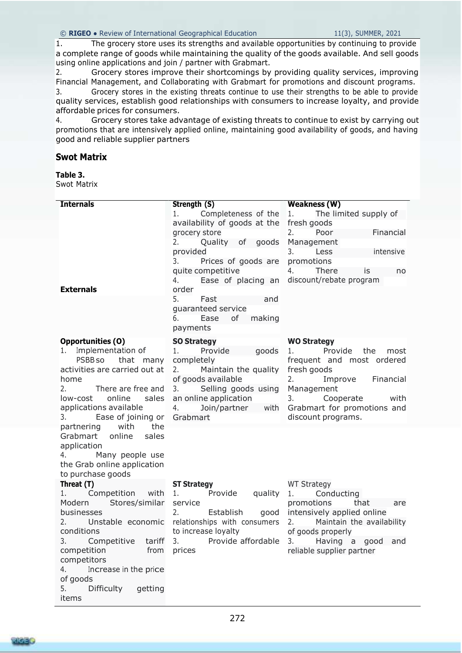1. The grocery store uses its strengths and available opportunities by continuing to provide a complete range of goods while maintaining the quality of the goods available. And sell goods using online applications and join / partner with Grabmart.

2. Grocery stores improve their shortcomings by providing quality services, improving Financial Management, and Collaborating with Grabmart for promotions and discount programs.

3. Grocery stores in the existing threats continue to use their strengths to be able to provide quality services, establish good relationships with consumers to increase loyalty, and provide affordable prices for consumers.

4. Grocery stores take advantage of existing threats to continue to exist by carrying out promotions that are intensively applied online, maintaining good availability of goods, and having good and reliable supplier partners

# **Swot Matrix**

# **Table 3.**

Swot Matrix

| <b>Internals</b>                                | Strength (S)                                      | <b>Weakness (W)</b>                        |  |  |
|-------------------------------------------------|---------------------------------------------------|--------------------------------------------|--|--|
|                                                 | 1. Completeness of the                            | 1.<br>The limited supply of                |  |  |
|                                                 | availability of goods at the fresh goods          |                                            |  |  |
|                                                 | grocery store                                     | 2.<br>Poor<br>Financial                    |  |  |
|                                                 | 2.<br>Quality of goods                            | Management                                 |  |  |
|                                                 | provided                                          | 3.<br>Less<br>intensive                    |  |  |
|                                                 | 3.<br>Prices of goods are                         | promotions                                 |  |  |
|                                                 | quite competitive                                 | 4.<br>There<br>is is<br>no                 |  |  |
|                                                 | 4.                                                | Ease of placing an discount/rebate program |  |  |
| <b>Externals</b>                                | order                                             |                                            |  |  |
|                                                 | 5.<br>Fast<br>and                                 |                                            |  |  |
|                                                 | quaranteed service                                |                                            |  |  |
|                                                 | 6.<br>Ease<br>of<br>making                        |                                            |  |  |
|                                                 | payments                                          |                                            |  |  |
| <b>Opportunities (O)</b>                        | <b>SO Strategy</b>                                | <b>WO Strategy</b>                         |  |  |
| Implementation of                               | Provide<br>goods<br>1.                            | Provide<br>the<br>1.<br>most               |  |  |
| PSBB so<br>that many                            | completely                                        | frequent and most ordered                  |  |  |
| activities are carried out at                   | Maintain the quality<br>2.                        | fresh goods                                |  |  |
| home                                            | of goods available                                | Financial<br>2.<br>Improve                 |  |  |
| 2.<br>There are free and                        | Selling goods using<br>3.                         | Management                                 |  |  |
| online<br>sales<br>low-cost                     | an online application                             | Cooperate<br>3.<br>with                    |  |  |
| applications available<br>3.                    | Join/partner with<br>4.<br>Grabmart               | Grabmart for promotions and                |  |  |
| Ease of joining or<br>with<br>the<br>partnering |                                                   | discount programs.                         |  |  |
| Grabmart online<br>sales                        |                                                   |                                            |  |  |
| application                                     |                                                   |                                            |  |  |
| 4. Many people use                              |                                                   |                                            |  |  |
| the Grab online application                     |                                                   |                                            |  |  |
| to purchase goods                               |                                                   |                                            |  |  |
| Threat (T)                                      | <b>ST Strategy</b>                                | <b>WT Strategy</b>                         |  |  |
| 1. Competition with                             | 1.                                                | Provide quality 1. Conducting              |  |  |
| Modern Stores/similar                           | service                                           | promotions<br>that<br>are                  |  |  |
| businesses                                      | 2.                                                | Establish good intensively applied online  |  |  |
|                                                 | 2. Unstable economic relationships with consumers | 2. Maintain the availability               |  |  |
| conditions                                      | to increase loyalty                               | of goods properly                          |  |  |
| 3.<br>Competitive<br>tariff                     | Provide affordable<br>3.                          | 3.<br>Having a<br>good<br>and              |  |  |
| competition<br>from                             | prices                                            | reliable supplier partner                  |  |  |
| competitors<br>4.                               |                                                   |                                            |  |  |
| Increase in the price<br>of goods               |                                                   |                                            |  |  |
| Difficulty<br>5.<br>getting                     |                                                   |                                            |  |  |
| items                                           |                                                   |                                            |  |  |
|                                                 |                                                   |                                            |  |  |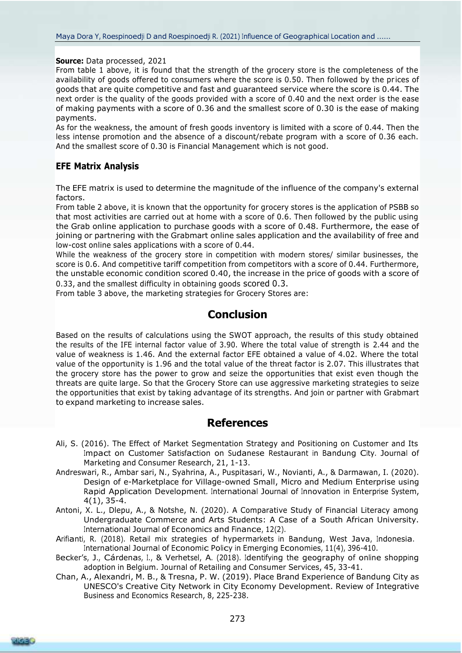**Source:** Data processed, 2021

From table 1 above, it is found that the strength of the grocery store is the completeness of the availability of goods offered to consumers where the score is 0.50. Then followed by the prices of goods that are quite competitive and fast and guaranteed service where the score is 0.44. The next order is the quality of the goods provided with a score of 0.40 and the next order is the ease of making payments with a score of 0.36 and the smallest score of 0.30 is the ease of making payments.

As for the weakness, the amount of fresh goods inventory is limited with a score of 0.44. Then the less intense promotion and the absence of a discount/rebate program with a score of 0.36 each. And the smallest score of 0.30 is Financial Management which is not good.

# **EFE Matrix Analysis**

The EFE matrix is used to determine the magnitude of the influence of the company's external factors.

From table 2 above, it is known that the opportunity for grocery stores is the application of PSBB so that most activities are carried out at home with a score of 0.6. Then followed by the public using the Grab online application to purchase goods with a score of 0.48. Furthermore, the ease of joining or partnering with the Grabmart online sales application and the availability of free and low-cost online sales applications with a score of 0.44.

While the weakness of the grocery store in competition with modern stores/ similar businesses, the score is 0.6. And competitive tariff competition from competitors with a score of 0.44. Furthermore, the unstable economic condition scored 0.40, the increase in the price of goods with a score of 0.33, and the smallest difficulty in obtaining goods scored 0.3.

From table 3 above, the marketing strategies for Grocery Stores are:

# **Conclusion**

Based on the results of calculations using the SWOT approach, the results of this study obtained the results of the IFE internal factor value of 3.90. Where the total value of strength is 2.44 and the value of weakness is 1.46. And the external factor EFE obtained a value of 4.02. Where the total value of the opportunity is 1.96 and the total value of the threat factor is 2.07. This illustrates that the grocery store has the power to grow and seize the opportunities that exist even though the threats are quite large. So that the Grocery Store can use aggressive marketing strategies to seize the opportunities that exist by taking advantage of its strengths. And join or partner with Grabmart to expand marketing to increase sales.

# **References**

- Ali, S. (2016). The Effect of Market Segmentation Strategy and Positioning on Customer and Its Impact on Customer Satisfaction on Sudanese Restaurant in Bandung City. Journal of Marketing and Consumer Research, 21, 1-13.
- Andreswari, R., Ambar sari, N., Syahrina, A., Puspitasari, W., Novianti, A., & Darmawan, I. (2020). Design of e-Marketplace for Village-owned Small, Micro and Medium Enterprise using Rapid Application Development. International Journal of Innovation in Enterprise System, 4(1), 35-4.
- Antoni, X. L., Dlepu, A., & Notshe, N. (2020). A Comparative Study of Financial Literacy among Undergraduate Commerce and Arts Students: A Case of a South African University. International Journal of Economics and Finance, 12(2).
- Arifianti, R. (2018). Retail mix strategies of hypermarkets in Bandung, West Java, Indonesia. International Journal of Economic Policy in Emerging Economies, 11(4), 396-410.
- Becker's, J., Cárdenas, I., & Verhetsel, A. (2018). Identifying the geography of online shopping adoption in Belgium. Journal of Retailing and Consumer Services, 45, 33-41.
- Chan, A., Alexandri, M. B., & Tresna, P. W. (2019). Place Brand Experience of Bandung City as UNESCO's Creative City Network in City Economy Development. Review of Integrative Business and Economics Research, 8, 225-238.